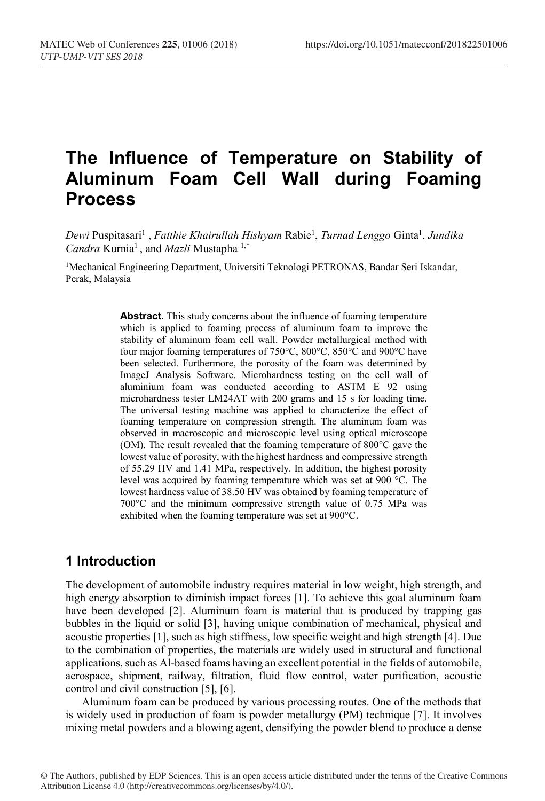# **The Influence of Temperature on Stability of Aluminum Foam Cell Wall during Foaming Process**

*Dewi* Puspitasari1 , *Fatthie Khairullah Hishyam* Rabie1 , *Turnad Lenggo* Ginta1 , *Jundika Candra* Kurnia1 , and *Mazli* Mustapha 1,\*

<sup>1</sup>Mechanical Engineering Department, Universiti Teknologi PETRONAS, Bandar Seri Iskandar, Perak, Malaysia

> Abstract. This study concerns about the influence of foaming temperature which is applied to foaming process of aluminum foam to improve the stability of aluminum foam cell wall. Powder metallurgical method with four major foaming temperatures of 750°C, 800°C, 850°C and 900°C have been selected. Furthermore, the porosity of the foam was determined by ImageJ Analysis Software. Microhardness testing on the cell wall of aluminium foam was conducted according to ASTM E 92 using microhardness tester LM24AT with 200 grams and 15 s for loading time. The universal testing machine was applied to characterize the effect of foaming temperature on compression strength. The aluminum foam was observed in macroscopic and microscopic level using optical microscope (OM). The result revealed that the foaming temperature of 800°C gave the lowest value of porosity, with the highest hardness and compressive strength of 55.29 HV and 1.41 MPa, respectively. In addition, the highest porosity level was acquired by foaming temperature which was set at 900 °C. The lowest hardness value of 38.50 HV was obtained by foaming temperature of 700°C and the minimum compressive strength value of 0.75 MPa was exhibited when the foaming temperature was set at 900°C.

### **1 Introduction**

The development of automobile industry requires material in low weight, high strength, and high energy absorption to diminish impact forces [1]. To achieve this goal aluminum foam have been developed [2]. Aluminum foam is material that is produced by trapping gas bubbles in the liquid or solid [3], having unique combination of mechanical, physical and acoustic properties [1], such as high stiffness, low specific weight and high strength [4]. Due to the combination of properties, the materials are widely used in structural and functional applications, such as Al-based foams having an excellent potential in the fields of automobile, aerospace, shipment, railway, filtration, fluid flow control, water purification, acoustic control and civil construction [5], [6].

Aluminum foam can be produced by various processing routes. One of the methods that is widely used in production of foam is powder metallurgy (PM) technique [7]. It involves mixing metal powders and a blowing agent, densifying the powder blend to produce a dense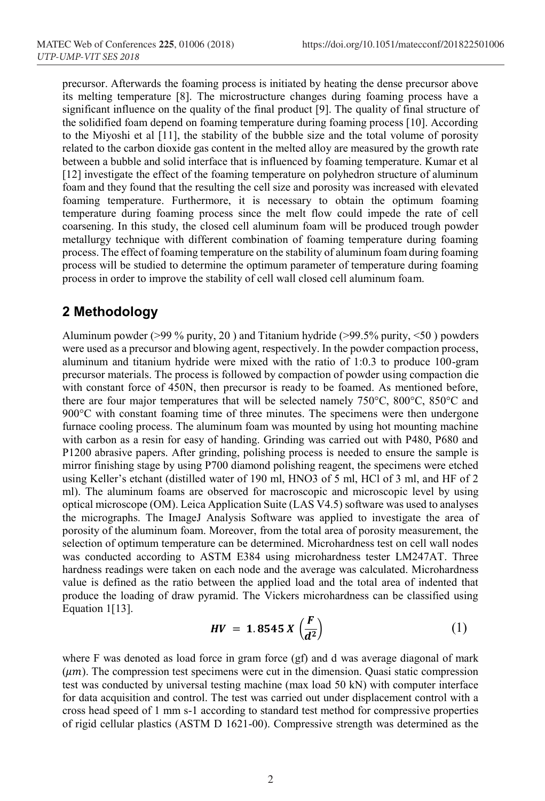precursor. Afterwards the foaming process is initiated by heating the dense precursor above its melting temperature [8]. The microstructure changes during foaming process have a significant influence on the quality of the final product [9]. The quality of final structure of the solidified foam depend on foaming temperature during foaming process [10]. According to the Miyoshi et al [11], the stability of the bubble size and the total volume of porosity related to the carbon dioxide gas content in the melted alloy are measured by the growth rate between a bubble and solid interface that is influenced by foaming temperature. Kumar et al [12] investigate the effect of the foaming temperature on polyhedron structure of aluminum foam and they found that the resulting the cell size and porosity was increased with elevated foaming temperature. Furthermore, it is necessary to obtain the optimum foaming temperature during foaming process since the melt flow could impede the rate of cell coarsening. In this study, the closed cell aluminum foam will be produced trough powder metallurgy technique with different combination of foaming temperature during foaming process. The effect of foaming temperature on the stability of aluminum foam during foaming process will be studied to determine the optimum parameter of temperature during foaming process in order to improve the stability of cell wall closed cell aluminum foam.

### **2 Methodology**

Aluminum powder ( $>99\%$  purity, 20) and Titanium hydride ( $>99.5\%$  purity,  $<50$ ) powders were used as a precursor and blowing agent, respectively. In the powder compaction process, aluminum and titanium hydride were mixed with the ratio of 1:0.3 to produce 100-gram precursor materials. The process is followed by compaction of powder using compaction die with constant force of 450N, then precursor is ready to be foamed. As mentioned before, there are four major temperatures that will be selected namely 750°C, 800°C, 850°C and 900°C with constant foaming time of three minutes. The specimens were then undergone furnace cooling process. The aluminum foam was mounted by using hot mounting machine with carbon as a resin for easy of handing. Grinding was carried out with P480, P680 and P1200 abrasive papers. After grinding, polishing process is needed to ensure the sample is mirror finishing stage by using P700 diamond polishing reagent, the specimens were etched using Keller's etchant (distilled water of 190 ml, HNO3 of 5 ml, HCl of 3 ml, and HF of 2 ml). The aluminum foams are observed for macroscopic and microscopic level by using optical microscope (OM). Leica Application Suite (LAS V4.5) software was used to analyses the micrographs. The ImageJ Analysis Software was applied to investigate the area of porosity of the aluminum foam. Moreover, from the total area of porosity measurement, the selection of optimum temperature can be determined. Microhardness test on cell wall nodes was conducted according to ASTM E384 using microhardness tester LM247AT. Three hardness readings were taken on each node and the average was calculated. Microhardness value is defined as the ratio between the applied load and the total area of indented that produce the loading of draw pyramid. The Vickers microhardness can be classified using Equation 1[13].

$$
HV = 1.8545 X \left(\frac{F}{d^2}\right) \tag{1}
$$

where F was denoted as load force in gram force (gf) and d was average diagonal of mark  $(\mu m)$ . The compression test specimens were cut in the dimension. Quasi static compression test was conducted by universal testing machine (max load 50 kN) with computer interface for data acquisition and control. The test was carried out under displacement control with a cross head speed of 1 mm s-1 according to standard test method for compressive properties of rigid cellular plastics (ASTM D 1621-00). Compressive strength was determined as the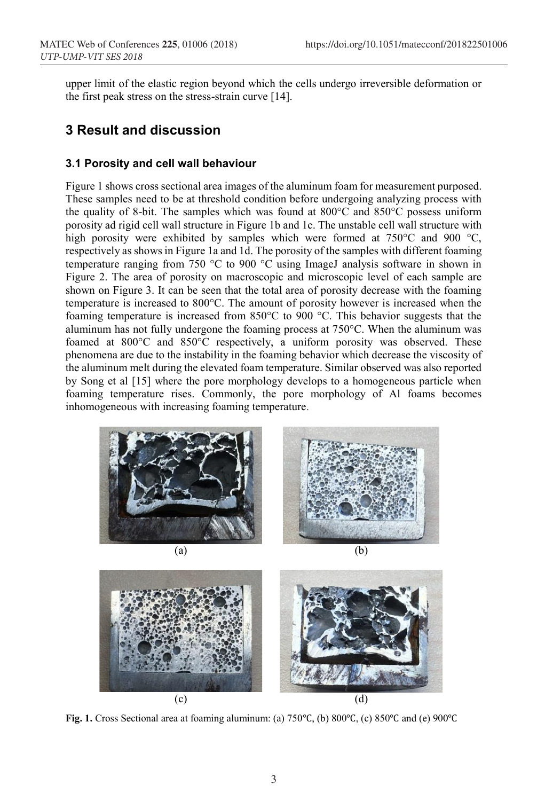upper limit of the elastic region beyond which the cells undergo irreversible deformation or the first peak stress on the stress-strain curve [14].

### **3 Result and discussion**

#### **3.1 Porosity and cell wall behaviour**

Figure 1 shows cross sectional area images of the aluminum foam for measurement purposed. These samples need to be at threshold condition before undergoing analyzing process with the quality of 8-bit. The samples which was found at 800°C and 850°C possess uniform porosity ad rigid cell wall structure in Figure 1b and 1c. The unstable cell wall structure with high porosity were exhibited by samples which were formed at 750°C and 900 °C, respectively as shows in Figure 1a and 1d. The porosity of the samples with different foaming temperature ranging from 750 °C to 900 °C using ImageJ analysis software in shown in Figure 2. The area of porosity on macroscopic and microscopic level of each sample are shown on Figure 3. It can be seen that the total area of porosity decrease with the foaming temperature is increased to 800°C. The amount of porosity however is increased when the foaming temperature is increased from 850°C to 900 °C. This behavior suggests that the aluminum has not fully undergone the foaming process at 750°C. When the aluminum was foamed at 800°C and 850°C respectively, a uniform porosity was observed. These phenomena are due to the instability in the foaming behavior which decrease the viscosity of the aluminum melt during the elevated foam temperature. Similar observed was also reported by Song et al [15] where the pore morphology develops to a homogeneous particle when foaming temperature rises. Commonly, the pore morphology of Al foams becomes inhomogeneous with increasing foaming temperature.





**Fig. 1.** Cross Sectional area at foaming aluminum: (a) 750℃, (b) 800℃, (c) 850℃ and (e) 900℃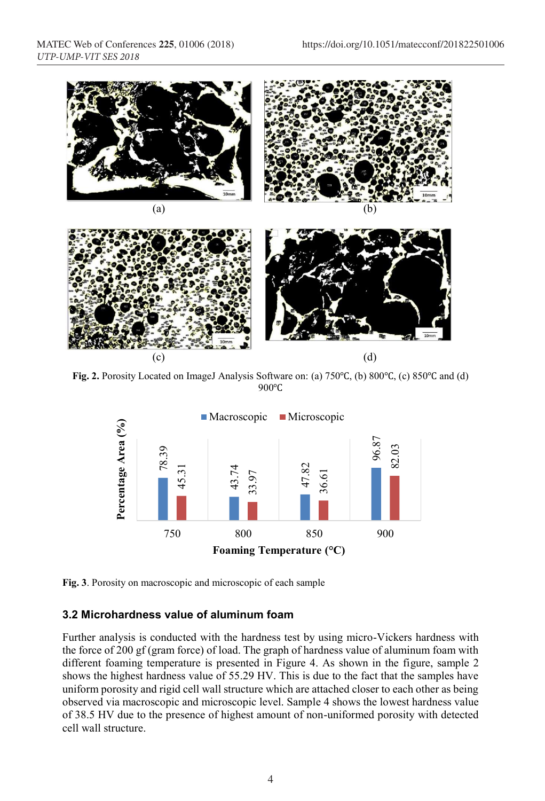

**Fig. 2.** Porosity Located on ImageJ Analysis Software on: (a) 750℃, (b) 800℃, (c) 850℃ and (d) 900℃



**Fig. 3**. Porosity on macroscopic and microscopic of each sample

#### **3.2 Microhardness value of aluminum foam**

Further analysis is conducted with the hardness test by using micro-Vickers hardness with the force of 200 gf (gram force) of load. The graph of hardness value of aluminum foam with different foaming temperature is presented in Figure 4. As shown in the figure, sample 2 shows the highest hardness value of 55.29 HV. This is due to the fact that the samples have uniform porosity and rigid cell wall structure which are attached closer to each other as being observed via macroscopic and microscopic level. Sample 4 shows the lowest hardness value of 38.5 HV due to the presence of highest amount of non-uniformed porosity with detected cell wall structure.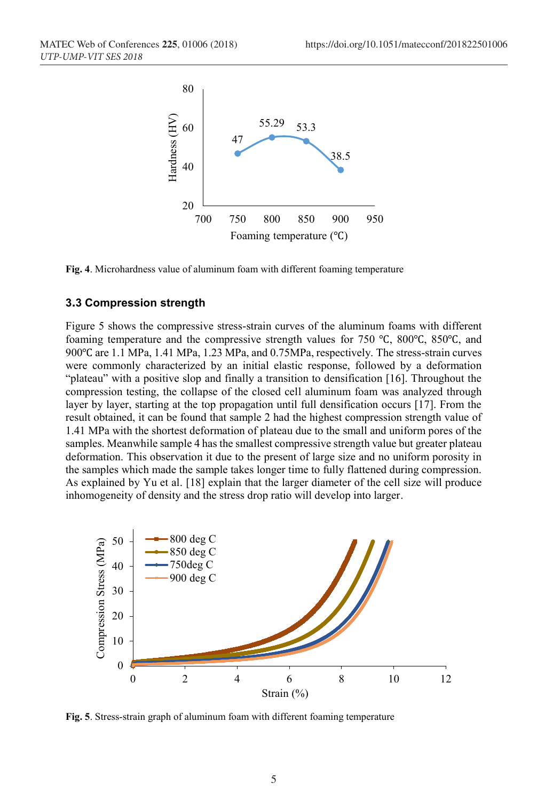

**Fig. 4**. Microhardness value of aluminum foam with different foaming temperature

#### **3.3 Compression strength**

Figure 5 shows the compressive stress-strain curves of the aluminum foams with different foaming temperature and the compressive strength values for 750 ℃, 800℃, 850℃, and 900℃ are 1.1 MPa, 1.41 MPa, 1.23 MPa, and 0.75MPa, respectively. The stress-strain curves were commonly characterized by an initial elastic response, followed by a deformation "plateau" with a positive slop and finally a transition to densification [16]. Throughout the compression testing, the collapse of the closed cell aluminum foam was analyzed through layer by layer, starting at the top propagation until full densification occurs [17]. From the result obtained, it can be found that sample 2 had the highest compression strength value of 1.41 MPa with the shortest deformation of plateau due to the small and uniform pores of the samples. Meanwhile sample 4 has the smallest compressive strength value but greater plateau deformation. This observation it due to the present of large size and no uniform porosity in the samples which made the sample takes longer time to fully flattened during compression. As explained by Yu et al. [18] explain that the larger diameter of the cell size will produce inhomogeneity of density and the stress drop ratio will develop into larger.



**Fig. 5**. Stress-strain graph of aluminum foam with different foaming temperature